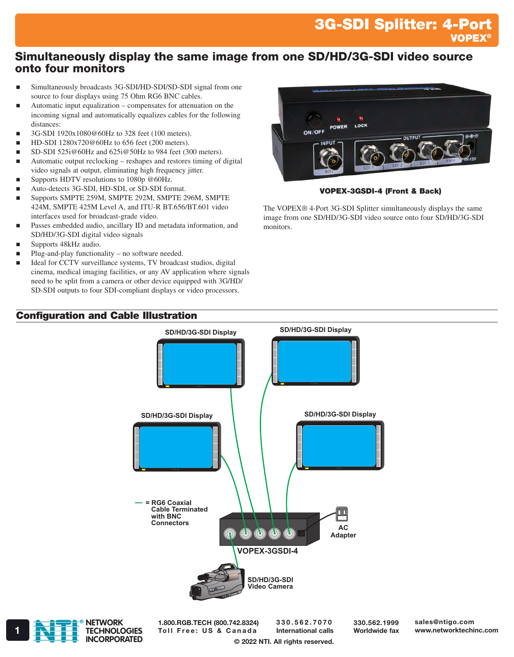# 3G-SDI Splitter: 4-Port VOPEX®

## Simultaneously display the same image from one SD/HD/3G-SDI video source onto four monitors

- Simultaneously broadcasts 3G-SDI/HD-SDI/SD-SDI signal from one source to four displays using 75 Ohm RG6 BNC cables.
- Automatic input equalization compensates for attenuation on the incoming signal and automatically equalizes cables for the following distances:
- 3G-SDI 1920x1080@60Hz to 328 feet (100 meters).
- HD-SDI 1280x720@60Hz to 656 feet (200 meters).
- SD-SDI 525i@60Hz and 625i@50Hz to 984 feet (300 meters).
- Automatic output reclocking reshapes and restores timing of digital video signals at output, eliminating high frequency jitter.
- Supports HDTV resolutions to 1080p @60Hz.
- Auto-detects 3G-SDI, HD-SDI, or SD-SDI format.
- Supports SMPTE 259M, SMPTE 292M, SMPTE 296M, SMPTE 424M, SMPTE 425M Level A, and ITU-R BT.656/BT.601 video interfaces used for broadcast-grade video.
- Passes embedded audio, ancillary ID and metadata information, and SD/HD/3G-SDI digital video signals
- Supports 48kHz audio.
- Plug-and-play functionality no software needed.
- Ideal for CCTV surveillance systems, TV broadcast studios, digital cinema, medical imaging facilities, or any AV application where signals need to be split from a camera or other device equipped with 3G/HD/ SD-SDI outputs to four SDI-compliant displays or video processors.

### Configuration and Cable Illustration



#### VOPEX-3GSDI-4 (Front & Back)

The VOPEX® 4-Port 3G-SDI Splitter simultaneously displays the same image from one SD/HD/3G-SDI video source onto four SD/HD/3G-SDI monitors.





1.800.RGB.TECH (800.742.8324)

330.562.7070 International calls

330.562.1999 Worldwide fax